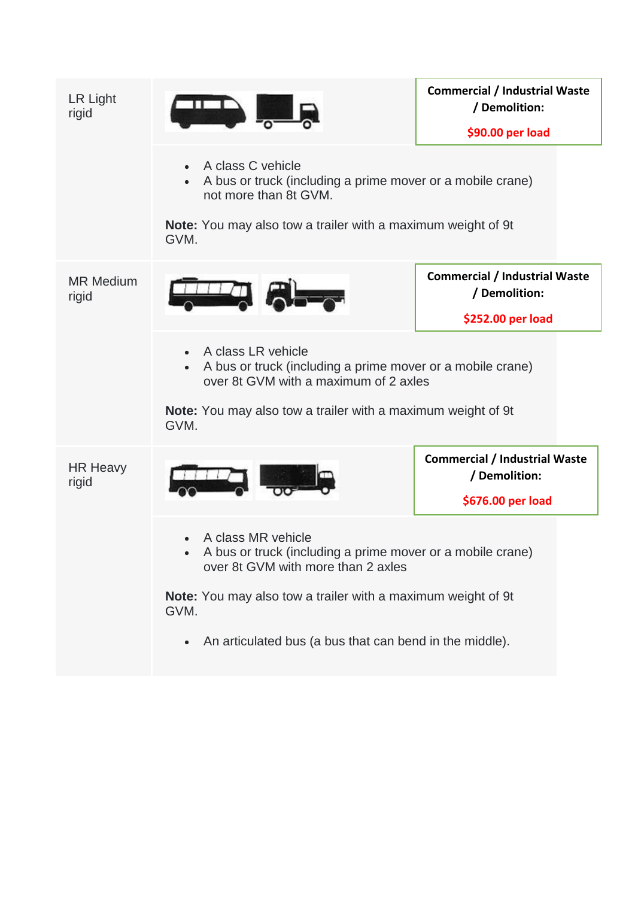| LR Light<br>rigid         |                                                                                                                                                                                                                       | <b>Commercial / Industrial Waste</b><br>/ Demolition: |  |
|---------------------------|-----------------------------------------------------------------------------------------------------------------------------------------------------------------------------------------------------------------------|-------------------------------------------------------|--|
|                           |                                                                                                                                                                                                                       | \$90.00 per load                                      |  |
|                           | A class C vehicle<br>$\bullet$<br>A bus or truck (including a prime mover or a mobile crane)<br>not more than 8t GVM.                                                                                                 |                                                       |  |
|                           | <b>Note:</b> You may also tow a trailer with a maximum weight of 9t<br>GVM.                                                                                                                                           |                                                       |  |
| <b>MR Medium</b><br>rigid |                                                                                                                                                                                                                       | <b>Commercial / Industrial Waste</b><br>/ Demolition: |  |
|                           |                                                                                                                                                                                                                       | \$252.00 per load                                     |  |
|                           | A class LR vehicle<br>$\bullet$<br>A bus or truck (including a prime mover or a mobile crane)<br>over 8t GVM with a maximum of 2 axles<br><b>Note:</b> You may also tow a trailer with a maximum weight of 9t<br>GVM. |                                                       |  |
| <b>HR Heavy</b><br>rigid  |                                                                                                                                                                                                                       | <b>Commercial / Industrial Waste</b><br>/ Demolition: |  |
|                           |                                                                                                                                                                                                                       | \$676.00 per load                                     |  |
|                           | A class MR vehicle<br>A bus or truck (including a prime mover or a mobile crane)<br>over 8t GVM with more than 2 axles                                                                                                |                                                       |  |
|                           | Note: You may also tow a trailer with a maximum weight of 9t<br>GVM.                                                                                                                                                  |                                                       |  |
|                           | An articulated bus (a bus that can bend in the middle).<br>$\bullet$                                                                                                                                                  |                                                       |  |